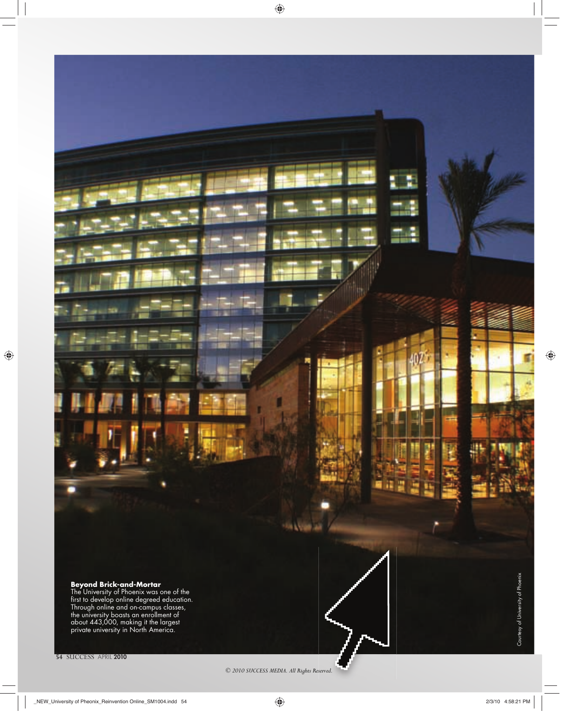### **Beyond Brick-and-Mortar**

The University of Phoenix was one of the<br>first to develop online degreed education. Through online and on-campus classes, the university boasts an enrollment of about 443,000, making it the largest private university in North America.

**Harbon** an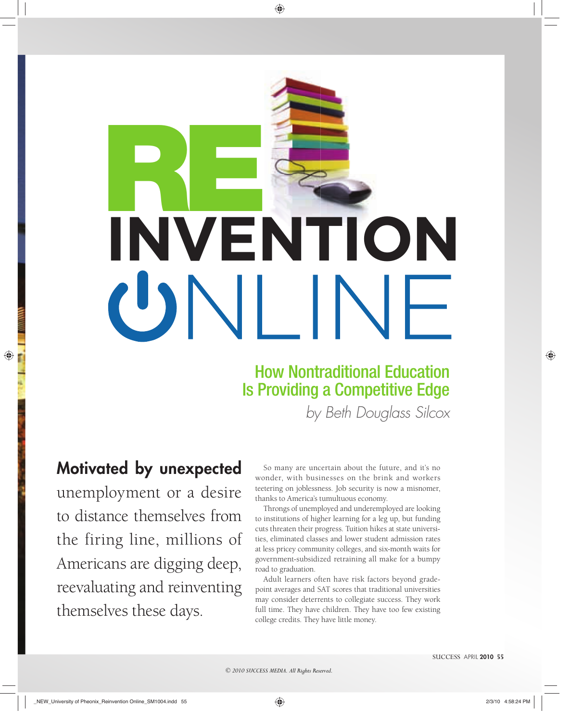# **RE INVENTION**

# How Nontraditional Education Is Providing a Competitive Edge

by Beth Douglass Silcox

# **Motivated by unexpected**

unemployment or a desire to distance themselves from the firing line, millions of Americans are digging deep, reevaluating and reinventing themselves these days.

So many are uncertain about the future, and it's no wonder, with businesses on the brink and workers teetering on joblessness. Job security is now a misnomer, thanks to America's tumultuous economy.

Throngs of unemployed and underemployed are looking to institutions of higher learning for a leg up, but funding cuts threaten their progress. Tuition hikes at state universities, eliminated classes and lower student admission rates at less pricey community colleges, and six-month waits for government-subsidized retraining all make for a bumpy road to graduation.

Adult learners often have risk factors beyond gradepoint averages and SAT scores that traditional universities may consider deterrents to collegiate success. They work full time. They have children. They have too few existing college credits. They have little money.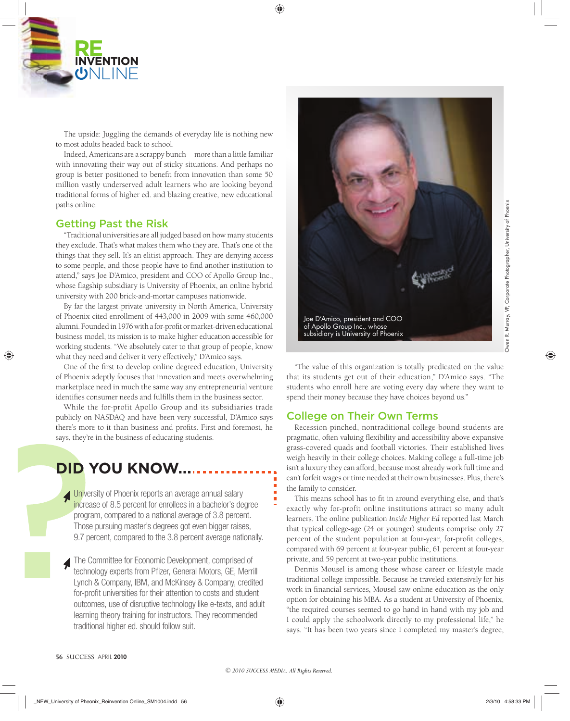

The upside: Juggling the demands of everyday life is nothing new to most adults headed back to school.

Indeed, Americans are a scrappy bunch—more than a little familiar with innovating their way out of sticky situations. And perhaps no group is better positioned to benefit from innovation than some 50 million vastly underserved adult learners who are looking beyond traditional forms of higher ed. and blazing creative, new educational paths online.

### Getting Past the Risk

"Traditional universities are all judged based on how many students they exclude. That's what makes them who they are. That's one of the things that they sell. It's an elitist approach. They are denying access to some people, and those people have to find another institution to attend," says Joe D'Amico, president and COO of Apollo Group Inc., whose flagship subsidiary is University of Phoenix, an online hybrid university with 200 brick-and-mortar campuses nationwide.

By far the largest private university in North America, University of Phoenix cited enrollment of 443,000 in 2009 with some 460,000 alumni. Founded in 1976 with a for-profit or market-driven educational business model, its mission is to make higher education accessible for working students. "We absolutely cater to that group of people, know what they need and deliver it very effectively," D'Amico says.

One of the first to develop online degreed education, University of Phoenix adeptly focuses that innovation and meets overwhelming marketplace need in much the same way any entrepreneurial venture identifies consumer needs and fulfills them in the business sector.

While the for-profit Apollo Group and its subsidiaries trade publicly on NASDAQ and have been very successful, D'Amico says there's more to it than business and profits. First and foremost, he says, they're in the business of educating students.

# **DID YOU KNOW...**

University of Phoenix reports an average annual salary increase of 8.5 percent for enrollees in a bachelor's degree program, compared to a national average of 3.8 percent. Those pursuing master's degrees got even bigger raises, 9.7 percent, compared to the 3.8 percent average nationally.

 The Committee for Economic Development, comprised of technology experts from Pfizer, General Motors, GE, Merrill Lynch & Company, IBM, and McKinsey & Company, credited for-profit universities for their attention to costs and student outcomes, use of disruptive technology like e-texts, and adult learning theory training for instructors. They recommended traditional higher ed. should follow suit.



"The value of this organization is totally predicated on the value that its students get out of their education," D'Amico says. "The students who enroll here are voting every day where they want to spend their money because they have choices beyond us."

### College on Their Own Terms

Recession-pinched, nontraditional college-bound students are pragmatic, often valuing flexibility and accessibility above expansive grass-covered quads and football victories. Their established lives weigh heavily in their college choices. Making college a full-time job isn't a luxury they can afford, because most already work full time and can't forfeit wages or time needed at their own businesses. Plus, there's the family to consider.

This means school has to fit in around everything else, and that's exactly why for-profit online institutions attract so many adult learners. The online publication *Inside Higher Ed* reported last March that typical college-age (24 or younger) students comprise only 27 percent of the student population at four-year, for-profit colleges, compared with 69 percent at four-year public, 61 percent at four-year private, and 59 percent at two-year public institutions.

Dennis Mousel is among those whose career or lifestyle made traditional college impossible. Because he traveled extensively for his work in financial services, Mousel saw online education as the only option for obtaining his MBA. As a student at University of Phoenix, "the required courses seemed to go hand in hand with my job and I could apply the schoolwork directly to my professional life," he says. "It has been two years since I completed my master's degree,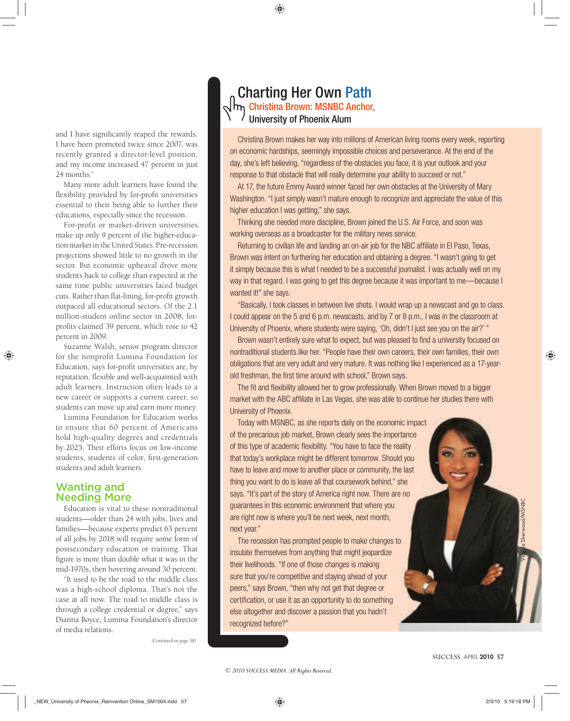and I have significantly reaped the rewards. I have been promoted twice since 2007, was recently granted a director-level position, and my income increased 47 percent in just 24 months."

Many more adult learners have found the flexibility provided by for-profit universities essential to their being able to further their educations, especially since the recession.

For-profit or market-driven universities make up only 9 percent of the higher-education market in the United States. Pre-recession projections showed little to no growth in the sector. But economic upheaval drove more students back to college than expected at the same time public universities faced budget cuts. Rather than flat-lining, for-profit growth outpaced all educational sectors. Of the 2.1 million-student online sector in 2008, forprofits claimed 39 percent, which rose to 42 percent in 2009.

Suzanne Walsh, senior program director for the nonprofit Lumina Foundation for Education, says for-profit universities are, by reputation, flexible and well-acquainted with adult learners. Instruction often leads to a new career or supports a current career, so students can move up and earn more money.

Lumina Foundation for Education works to ensure that 60 percent of Americans hold high-quality degrees and credentials by 2025. Their efforts focus on low-income students, students of color, first-generation students and adult learners.

### Wanting and Needing More

Education is vital to these nontraditional students—older than 24 with jobs, lives and families—because experts predict 63 percent of all jobs by 2018 will require some form of postsecondary education or training. That figure is more than double what it was in the mid-1970s, then hovering around 30 percent.

"It used to be the road to the middle class was a high-school diploma. That's not the case at all now. The road to middle class is through a college credential or degree," says Dianna Boyce, Lumina Foundation's director of media relations.

## Charting Her Own Path Christina Brown: MSNBC Anchor, University of Phoenix Alum

Christina Brown makes her way into millions of American living rooms every week, reporting on economic hardships, seemingly impossible choices and perseverance. At the end of the day, she's left believing, "regardless of the obstacles you face, it is your outlook and your response to that obstacle that will really determine your ability to succeed or not."

At 17, the future Emmy Award winner faced her own obstacles at the University of Mary Washington. "I just simply wasn't mature enough to recognize and appreciate the value of this higher education I was getting," she says.

Thinking she needed more discipline, Brown joined the U.S. Air Force, and soon was working overseas as a broadcaster for the military news service.

Returning to civilian life and landing an on-air job for the NBC affiliate in El Paso, Texas, Brown was intent on furthering her education and obtaining a degree. "I wasn't going to get it simply because this is what I needed to be a successful journalist. I was actually well on my way in that regard. I was going to get this degree because it was important to me—because I wanted it!" she says.

"Basically, I took classes in between live shots. I would wrap up a newscast and go to class. I could appear on the 5 and 6 p.m. newscasts, and by 7 or 8 p.m., I was in the classroom at University of Phoenix, where students were saying, 'Oh, didn't I just see you on the air?' "

Brown wasn't entirely sure what to expect, but was pleased to find a university focused on nontraditional students like her. "People have their own careers, their own families, their own obligations that are very adult and very mature. It was nothing like I experienced as a 17-yearold freshman, the first time around with school," Brown says.

The fit and flexibility allowed her to grow professionally. When Brown moved to a bigger market with the ABC affiliate in Las Vegas, she was able to continue her studies there with University of Phoenix.

Today with MSNBC, as she reports daily on the economic impact of the precarious job market, Brown clearly sees the importance of this type of academic flexibility. "You have to face the reality that today's workplace might be different tomorrow. Should you have to leave and move to another place or community, the last thing you want to do is leave all that coursework behind," she says. "It's part of the story of America right now. There are no guarantees in this economic environment that where you are right now is where you'll be next week, next month, next year." oortance<br>reality<br>uld you<br>the last<br>" she

The recession has prompted people to make changes to insulate themselves from anything that might jeopardize their livelihoods. "If one of those changes is making sure that you're competitive and staying ahead of your peers," says Brown, "then why not get that degree or certification, or use it as an opportunity to do something else altogether and discover a passion that you hadn't recognized before?"

Virginia Sherwood/MSNBC

*(Continued on page 58)*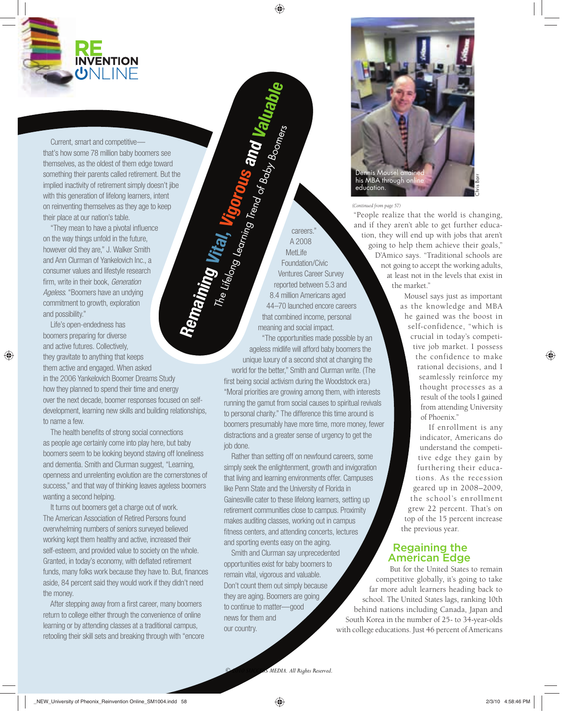

Current, smart and competitive that's how some 78 million baby boomers see themselves, as the oldest of them edge toward something their parents called retirement. But the implied inactivity of retirement simply doesn't jibe with this generation of lifelong learners, intent on reinventing themselves as they age to keep their place at our nation's table.

"They mean to have a pivotal influence on the way things unfold in the future, however old they are," J. Walker Smith and Ann Clurman of Yankelovich Inc., a consumer values and lifestyle research firm, write in their book, Generation Ageless. "Boomers have an undying commitment to growth, exploration and possibility."

Life's open-endedness has boomers preparing for diverse and active futures. Collectively, they gravitate to anything that keeps them active and engaged. When asked in the 2006 Yankelovich Boomer Dreams Study how they planned to spend their time and energy over the next decade, boomer responses focused on selfdevelopment, learning new skills and building relationships, to name a few.

The health benefits of strong social connections as people age certainly come into play here, but baby boomers seem to be looking beyond staving off loneliness and dementia. Smith and Clurman suggest, "Learning, openness and unrelenting evolution are the cornerstones of success," and that way of thinking leaves ageless boomers wanting a second helping.

It turns out boomers get a charge out of work. The American Association of Retired Persons found overwhelming numbers of seniors surveyed believed working kept them healthy and active, increased their self-esteem, and provided value to society on the whole. Granted, in today's economy, with deflated retirement funds, many folks work because they have to. But, finances aside, 84 percent said they would work if they didn't need the money.

After stepping away from a first career, many boomers return to college either through the convenience of online learning or by attending classes at a traditional campus, retooling their skill sets and breaking through with "encore

careers." A 2008 MetLife Foundation/Civic Ventures Career Survey reported between 5.3 and 8.4 million Americans aged 44–70 launched encore careers that combined income, personal meaning and social impact. **Remaining Vital, Vigorous and Valuable** The Lifelong Learning Trend of Baby Boomers

"The opportunities made possible by an ageless midlife will afford baby boomers the unique luxury of a second shot at changing the world for the better," Smith and Clurman write. (The first being social activism during the Woodstock era.) "Moral priorities are growing among them, with interests running the gamut from social causes to spiritual revivals to personal charity." The difference this time around is boomers presumably have more time, more money, fewer distractions and a greater sense of urgency to get the job done.

Rather than setting off on newfound careers, some simply seek the enlightenment, growth and invigoration that living and learning environments offer. Campuses like Penn State and the University of Florida in Gainesville cater to these lifelong learners, setting up retirement communities close to campus. Proximity makes auditing classes, working out in campus fitness centers, and attending concerts, lectures and sporting events easy on the aging.

Smith and Clurman say unprecedented opportunities exist for baby boomers to remain vital, vigorous and valuable. Don't count them out simply because they are aging. Boomers are going to continue to matter—good news for them and our country.



*(Continued from page 57)*

"People realize that the world is changing, and if they aren't able to get further education, they will end up with jobs that aren't going to help them achieve their goals," D'Amico says. "Traditional schools are not going to accept the working adults, at least not in the levels that exist in the market."

> Mousel says just as important as the knowledge and MBA he gained was the boost in self-confidence, "which is crucial in today's competitive job market. I possess the confidence to make rational decisions, and I seamlessly reinforce my thought processes as a result of the tools I gained from attending University of Phoenix."

> If enrollment is any indicator, Americans do understand the competitive edge they gain by furthering their educations. As the recession geared up in 2008–2009, the school's enrollment grew 22 percent. That's on top of the 15 percent increase the previous year.

### Regaining the American Edge

But for the United States to remain competitive globally, it's going to take far more adult learners heading back to school. The United States lags, ranking 10th behind nations including Canada, Japan and South Korea in the number of 25- to 34-year-olds with college educations. Just 46 percent of Americans